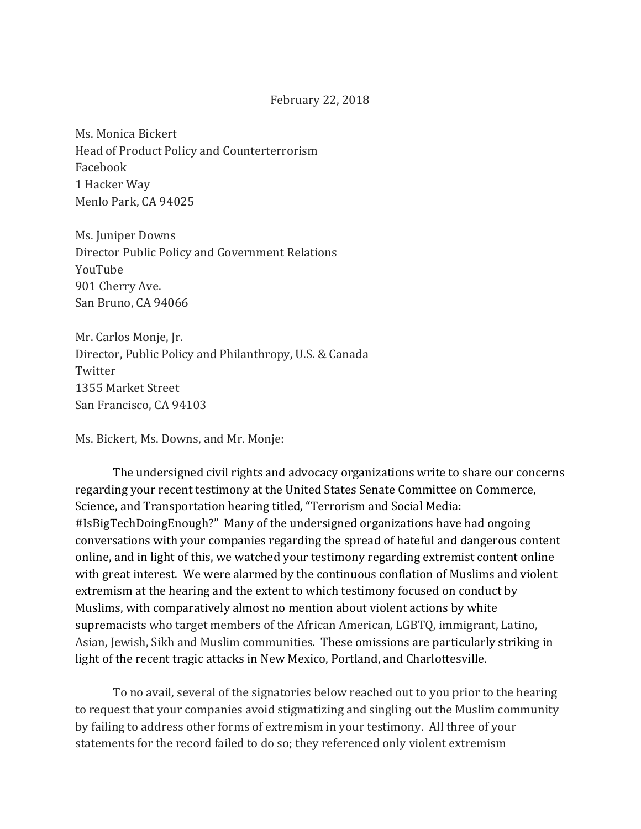## February 22, 2018

Ms. Monica Bickert Head of Product Policy and Counterterrorism Facebook 1 Hacker Way Menlo Park, CA 94025

Ms. Juniper Downs Director Public Policy and Government Relations YouTube 901 Cherry Ave. San Bruno, CA 94066

Mr. Carlos Monje, Jr. Director, Public Policy and Philanthropy, U.S. & Canada Twitter 1355 Market Street San Francisco, CA 94103

Ms. Bickert, Ms. Downs, and Mr. Monje:

The undersigned civil rights and advocacy organizations write to share our concerns regarding your recent testimony at the United States Senate Committee on Commerce, Science, and Transportation hearing titled, "Terrorism and Social Media: #IsBigTechDoingEnough?" Many of the undersigned organizations have had ongoing conversations with your companies regarding the spread of hateful and dangerous content online, and in light of this, we watched your testimony regarding extremist content online with great interest. We were alarmed by the continuous conflation of Muslims and violent extremism at the hearing and the extent to which testimony focused on conduct by Muslims, with comparatively almost no mention about violent actions by white supremacists who target members of the African American, LGBTQ, immigrant, Latino, Asian, Jewish, Sikh and Muslim communities. These omissions are particularly striking in light of the recent tragic attacks in New Mexico, Portland, and Charlottesville.

To no avail, several of the signatories below reached out to you prior to the hearing to request that your companies avoid stigmatizing and singling out the Muslim community by failing to address other forms of extremism in your testimony. All three of your statements for the record failed to do so; they referenced only violent extremism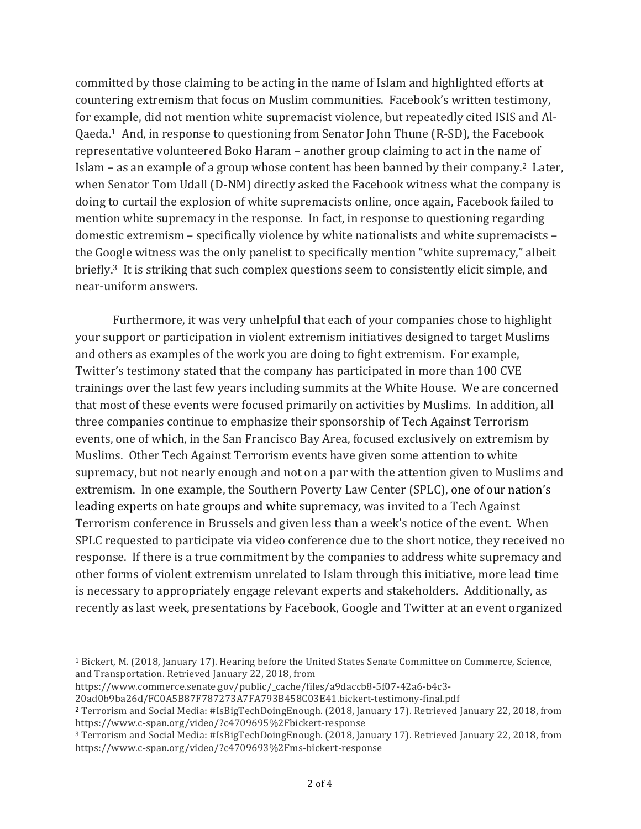committed by those claiming to be acting in the name of Islam and highlighted efforts at countering extremism that focus on Muslim communities. Facebook's written testimony, for example, did not mention white supremacist violence, but repeatedly cited ISIS and Al-Qaeda.<sup>1</sup> And, in response to questioning from Senator John Thune (R-SD), the Facebook representative volunteered Boko Haram – another group claiming to act in the name of Islam – as an example of a group whose content has been banned by their company.<sup>2</sup> Later, when Senator Tom Udall (D-NM) directly asked the Facebook witness what the company is doing to curtail the explosion of white supremacists online, once again, Facebook failed to mention white supremacy in the response. In fact, in response to questioning regarding domestic extremism – specifically violence by white nationalists and white supremacists – the Google witness was the only panelist to specifically mention "white supremacy," albeit briefly.<sup>3</sup> It is striking that such complex questions seem to consistently elicit simple, and near-uniform answers. 

Furthermore, it was very unhelpful that each of your companies chose to highlight your support or participation in violent extremism initiatives designed to target Muslims and others as examples of the work you are doing to fight extremism. For example, Twitter's testimony stated that the company has participated in more than 100 CVE trainings over the last few years including summits at the White House. We are concerned that most of these events were focused primarily on activities by Muslims. In addition, all three companies continue to emphasize their sponsorship of Tech Against Terrorism events, one of which, in the San Francisco Bay Area, focused exclusively on extremism by Muslims. Other Tech Against Terrorism events have given some attention to white supremacy, but not nearly enough and not on a par with the attention given to Muslims and extremism. In one example, the Southern Poverty Law Center (SPLC), one of our nation's leading experts on hate groups and white supremacy, was invited to a Tech Against Terrorism conference in Brussels and given less than a week's notice of the event. When SPLC requested to participate via video conference due to the short notice, they received no response. If there is a true commitment by the companies to address white supremacy and other forms of violent extremism unrelated to Islam through this initiative, more lead time is necessary to appropriately engage relevant experts and stakeholders. Additionally, as recently as last week, presentations by Facebook, Google and Twitter at an event organized

https://www.commerce.senate.gov/public/\_cache/files/a9daccb8-5f07-42a6-b4c3-

 $\overline{a}$ 

<sup>&</sup>lt;sup>1</sup> Bickert, M. (2018, January 17). Hearing before the United States Senate Committee on Commerce, Science, and Transportation. Retrieved January 22, 2018, from

<sup>20</sup>ad0b9ba26d/FC0A5B87F787273A7FA793B458C03E41.bickert-testimony-final.pdf

<sup>&</sup>lt;sup>2</sup> Terrorism and Social Media: #IsBigTechDoingEnough. (2018, January 17). Retrieved January 22, 2018, from https://www.c-span.org/video/?c4709695%2Fbickert-response

<sup>&</sup>lt;sup>3</sup> Terrorism and Social Media: #IsBigTechDoingEnough. (2018, January 17). Retrieved January 22, 2018, from https://www.c-span.org/video/?c4709693%2Fms-bickert-response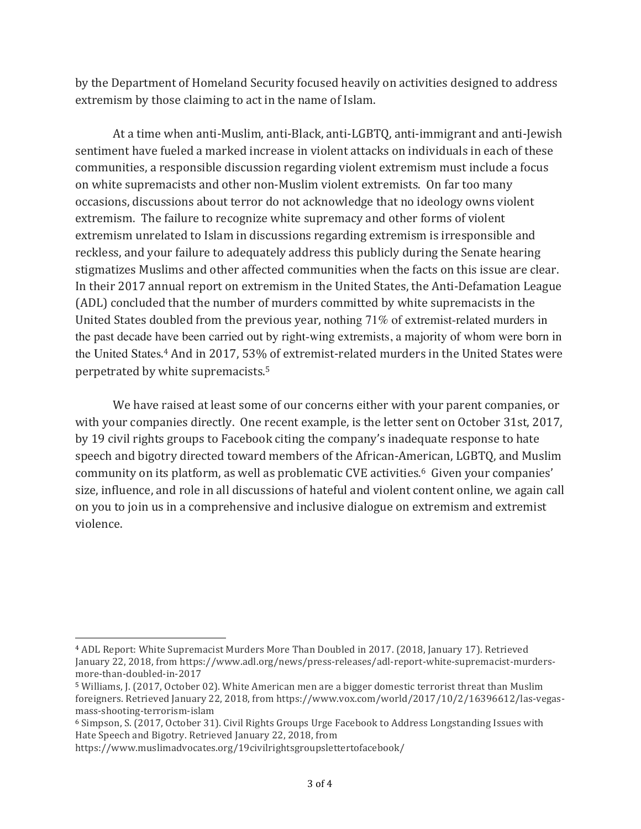by the Department of Homeland Security focused heavily on activities designed to address extremism by those claiming to act in the name of Islam.

At a time when anti-Muslim, anti-Black, anti-LGBTQ, anti-immigrant and anti-Jewish sentiment have fueled a marked increase in violent attacks on individuals in each of these communities, a responsible discussion regarding violent extremism must include a focus on white supremacists and other non-Muslim violent extremists. On far too many occasions, discussions about terror do not acknowledge that no ideology owns violent extremism. The failure to recognize white supremacy and other forms of violent extremism unrelated to Islam in discussions regarding extremism is irresponsible and reckless, and your failure to adequately address this publicly during the Senate hearing stigmatizes Muslims and other affected communities when the facts on this issue are clear. In their 2017 annual report on extremism in the United States, the Anti-Defamation League (ADL) concluded that the number of murders committed by white supremacists in the United States doubled from the previous year, nothing  $71\%$  of extremist-related murders in the past decade have been carried out by right-wing extremists, a majority of whom were born in the United States.<sup>4</sup> And in 2017, 53% of extremist-related murders in the United States were perpetrated by white supremacists.<sup>5</sup>

We have raised at least some of our concerns either with your parent companies, or with your companies directly. One recent example, is the letter sent on October 31st, 2017, by 19 civil rights groups to Facebook citing the company's inadequate response to hate speech and bigotry directed toward members of the African-American, LGBTQ, and Muslim community on its platform, as well as problematic CVE activities.<sup>6</sup> Given your companies' size, influence, and role in all discussions of hateful and violent content online, we again call on you to join us in a comprehensive and inclusive dialogue on extremism and extremist violence.

<sup>&</sup>lt;sup>4</sup> ADL Report: White Supremacist Murders More Than Doubled in 2017. (2018, January 17). Retrieved January 22, 2018, from https://www.adl.org/news/press-releases/adl-report-white-supremacist-murdersmore-than-doubled-in-2017

<sup>&</sup>lt;sup>5</sup> Williams, J. (2017, October 02). White American men are a bigger domestic terrorist threat than Muslim foreigners. Retrieved January 22, 2018, from https://www.vox.com/world/2017/10/2/16396612/las-vegasmass-shooting-terrorism-islam

<sup>&</sup>lt;sup>6</sup> Simpson, S. (2017, October 31). Civil Rights Groups Urge Facebook to Address Longstanding Issues with Hate Speech and Bigotry. Retrieved January 22, 2018, from

https://www.muslimadvocates.org/19civilrightsgroupslettertofacebook/